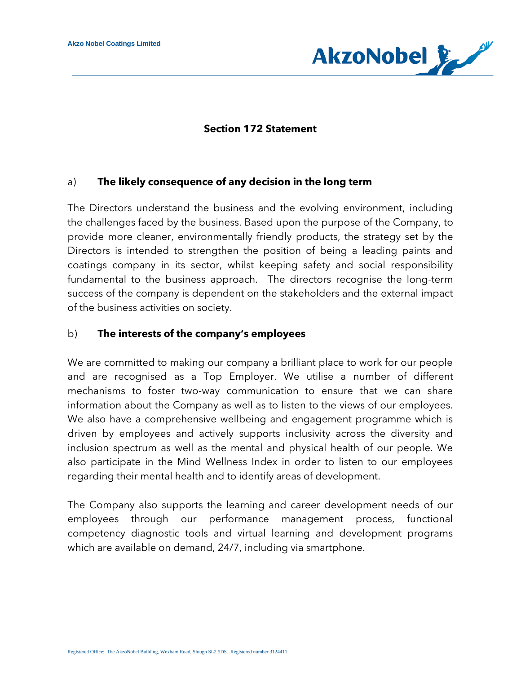

### **Section 172 Statement**

#### a) **The likely consequence of any decision in the long term**

The Directors understand the business and the evolving environment, including the challenges faced by the business. Based upon the purpose of the Company, to provide more cleaner, environmentally friendly products, the strategy set by the Directors is intended to strengthen the position of being a leading paints and coatings company in its sector, whilst keeping safety and social responsibility fundamental to the business approach. The directors recognise the long-term success of the company is dependent on the stakeholders and the external impact of the business activities on society.

### b) **The interests of the company's employees**

We are committed to making our company a brilliant place to work for our people and are recognised as a Top Employer. We utilise a number of different mechanisms to foster two-way communication to ensure that we can share information about the Company as well as to listen to the views of our employees. We also have a comprehensive wellbeing and engagement programme which is driven by employees and actively supports inclusivity across the diversity and inclusion spectrum as well as the mental and physical health of our people. We also participate in the Mind Wellness Index in order to listen to our employees regarding their mental health and to identify areas of development.

The Company also supports the learning and career development needs of our employees through our performance management process, functional competency diagnostic tools and virtual learning and development programs which are available on demand, 24/7, including via smartphone.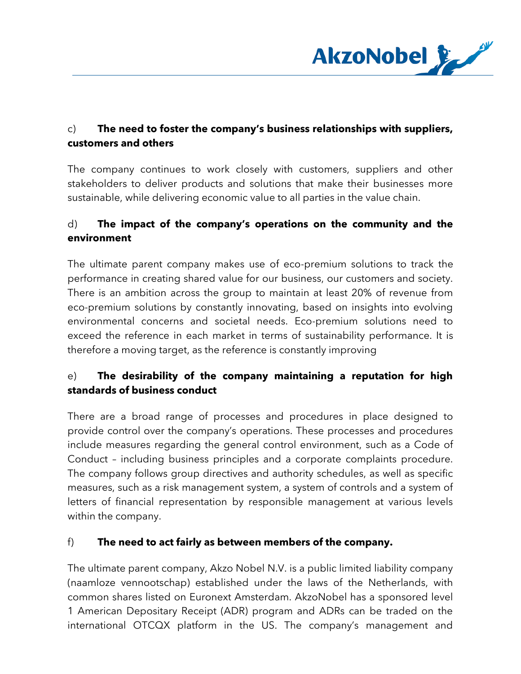

## c) **The need to foster the company's business relationships with suppliers, customers and others**

The company continues to work closely with customers, suppliers and other stakeholders to deliver products and solutions that make their businesses more sustainable, while delivering economic value to all parties in the value chain.

# d) **The impact of the company's operations on the community and the environment**

The ultimate parent company makes use of eco-premium solutions to track the performance in creating shared value for our business, our customers and society. There is an ambition across the group to maintain at least 20% of revenue from eco-premium solutions by constantly innovating, based on insights into evolving environmental concerns and societal needs. Eco-premium solutions need to exceed the reference in each market in terms of sustainability performance. It is therefore a moving target, as the reference is constantly improving

# e) **The desirability of the company maintaining a reputation for high standards of business conduct**

There are a broad range of processes and procedures in place designed to provide control over the company's operations. These processes and procedures include measures regarding the general control environment, such as a Code of Conduct – including business principles and a corporate complaints procedure. The company follows group directives and authority schedules, as well as specific measures, such as a risk management system, a system of controls and a system of letters of financial representation by responsible management at various levels within the company.

### f) **The need to act fairly as between members of the company.**

The ultimate parent company, Akzo Nobel N.V. is a public limited liability company (naamloze vennootschap) established under the laws of the Netherlands, with common shares listed on Euronext Amsterdam. AkzoNobel has a sponsored level 1 American Depositary Receipt (ADR) program and ADRs can be traded on the international OTCQX platform in the US. The company's management and